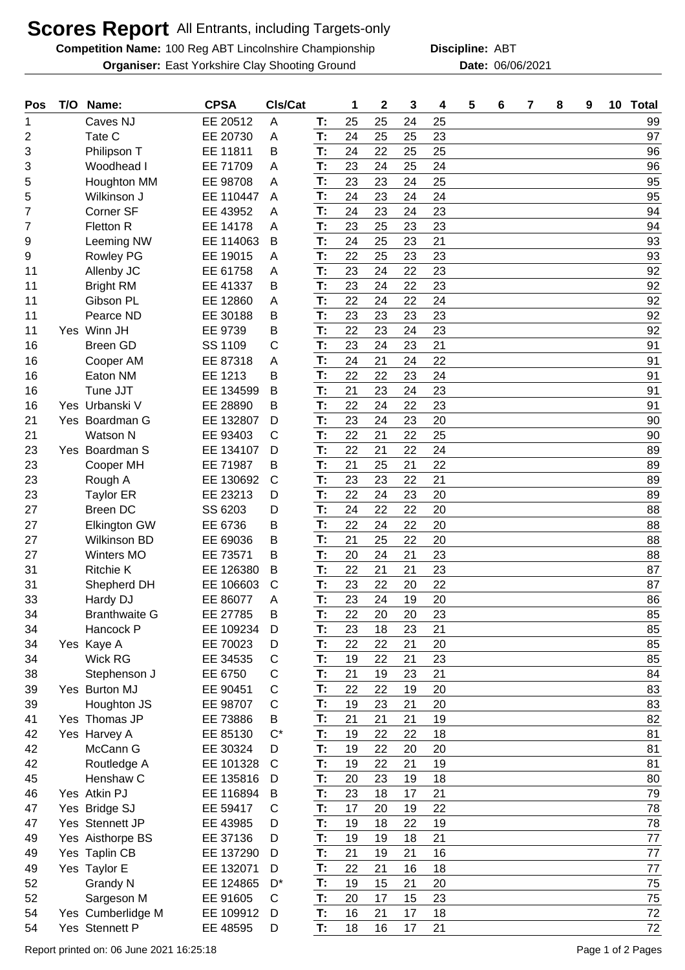## **Scores Report** All Entrants, including Targets-only

**Competition Name:** 100 Reg ABT Lincolnshire Championship **Discipline:** ABT **Organiser:** East Yorkshire Clay Shooting Ground **Date:** 06/06/2021

**Discipline:**

| Pos            | T/O | Name:                | <b>CPSA</b> | CIs/Cat      |          | 1  | $\mathbf 2$ | 3  | 4  | 5 | 6 | 7 | 8 | 9 | 10 Total |
|----------------|-----|----------------------|-------------|--------------|----------|----|-------------|----|----|---|---|---|---|---|----------|
| 1              |     | Caves NJ             | EE 20512    | A            | T:       | 25 | 25          | 24 | 25 |   |   |   |   |   | 99       |
| $\overline{2}$ |     | Tate C               | EE 20730    | A            | T:       | 24 | 25          | 25 | 23 |   |   |   |   |   | 97       |
| 3              |     | Philipson T          | EE 11811    | Β            | T:       | 24 | 22          | 25 | 25 |   |   |   |   |   | 96       |
| 3              |     | Woodhead I           | EE 71709    | A            | T:       | 23 | 24          | 25 | 24 |   |   |   |   |   | 96       |
| 5              |     | Houghton MM          | EE 98708    | A            | T:       | 23 | 23          | 24 | 25 |   |   |   |   |   | 95       |
| 5              |     | Wilkinson J          | EE 110447   | A            | T:       | 24 | 23          | 24 | 24 |   |   |   |   |   | 95       |
| 7              |     | Corner SF            | EE 43952    | A            | T:       | 24 | 23          | 24 | 23 |   |   |   |   |   | 94       |
| 7              |     | Fletton R            | EE 14178    | Α            | T:       | 23 | 25          | 23 | 23 |   |   |   |   |   | 94       |
| 9              |     | Leeming NW           | EE 114063   | B            | T:       | 24 | 25          | 23 | 21 |   |   |   |   |   | 93       |
| 9              |     | <b>Rowley PG</b>     | EE 19015    | A            | T:       | 22 | 25          | 23 | 23 |   |   |   |   |   | 93       |
| 11             |     | Allenby JC           | EE 61758    | A            | T:       | 23 | 24          | 22 | 23 |   |   |   |   |   | 92       |
| 11             |     | <b>Bright RM</b>     | EE 41337    | B            | T:       | 23 | 24          | 22 | 23 |   |   |   |   |   | 92       |
| 11             |     | Gibson PL            | EE 12860    | A            | T:       | 22 | 24          | 22 | 24 |   |   |   |   |   | 92       |
| 11             |     | Pearce ND            | EE 30188    | B            | T:       | 23 | 23          | 23 | 23 |   |   |   |   |   | 92       |
| 11             |     | Yes Winn JH          | EE 9739     | В            | T:       | 22 | 23          | 24 | 23 |   |   |   |   |   | 92       |
| 16             |     | <b>Breen GD</b>      | SS 1109     | С            | T:       | 23 | 24          | 23 | 21 |   |   |   |   |   | 91       |
| 16             |     | Cooper AM            | EE 87318    | Α            | T:       | 24 | 21          | 24 | 22 |   |   |   |   |   | 91       |
| 16             |     | Eaton NM             | EE 1213     | B            | T:       | 22 | 22          | 23 | 24 |   |   |   |   |   | 91       |
| 16             |     | Tune JJT             | EE 134599   | B            | T:       | 21 | 23          | 24 | 23 |   |   |   |   |   | 91       |
| 16             |     | Yes Urbanski V       | EE 28890    | B            | T:       | 22 | 24          | 22 | 23 |   |   |   |   |   | 91       |
| 21             |     | Yes Boardman G       | EE 132807   | D            | T:       | 23 | 24          | 23 | 20 |   |   |   |   |   | 90       |
| 21             |     | <b>Watson N</b>      | EE 93403    | С            | T:       | 22 | 21          | 22 | 25 |   |   |   |   |   | 90       |
| 23             |     | Yes Boardman S       | EE 134107   | D            | T:       | 22 | 21          | 22 | 24 |   |   |   |   |   | 89       |
| 23             |     | Cooper MH            | EE 71987    | B            | T:       | 21 | 25          | 21 | 22 |   |   |   |   |   | 89       |
| 23             |     | Rough A              | EE 130692   | $\mathsf{C}$ | T:       | 23 | 23          | 22 | 21 |   |   |   |   |   | 89       |
| 23             |     | <b>Taylor ER</b>     | EE 23213    | D            | T:       | 22 | 24          | 23 | 20 |   |   |   |   |   | 89       |
| 27             |     | <b>Breen DC</b>      | SS 6203     | D            | T:       | 24 | 22          | 22 | 20 |   |   |   |   |   | 88       |
| 27             |     | <b>Elkington GW</b>  | EE 6736     | Β            | T:       | 22 | 24          | 22 | 20 |   |   |   |   |   | 88       |
| 27             |     | Wilkinson BD         | EE 69036    | В            | T:       | 21 | 25          | 22 | 20 |   |   |   |   |   | 88       |
| 27             |     | Winters MO           | EE 73571    | B            | T:       | 20 | 24          | 21 | 23 |   |   |   |   |   | 88       |
| 31             |     | <b>Ritchie K</b>     | EE 126380   | B            | T:       | 22 | 21          | 21 | 23 |   |   |   |   |   | 87       |
| 31             |     | Shepherd DH          | EE 106603   | $\mathsf{C}$ | T:       | 23 | 22          | 20 | 22 |   |   |   |   |   | 87       |
| 33             |     | Hardy DJ             | EE 86077    | A            | T:       | 23 | 24          | 19 | 20 |   |   |   |   |   | 86       |
| 34             |     | <b>Branthwaite G</b> | EE 27785    | В            | T:       | 22 | 20          | 20 | 23 |   |   |   |   |   | 85       |
| 34             |     | Hancock P            | EE 109234   | D            | T:       | 23 | 18          | 23 | 21 |   |   |   |   |   | 85       |
| 34             |     | Yes Kaye A           | EE 70023    | D            | T:       | 22 | 22          | 21 | 20 |   |   |   |   |   | 85       |
| 34             |     | Wick RG              | EE 34535    | $\mathsf{C}$ | T:       | 19 | 22          | 21 | 23 |   |   |   |   |   | 85       |
| 38             |     | Stephenson J         | EE 6750     | С            | T:       | 21 | 19          | 23 | 21 |   |   |   |   |   | 84       |
| 39             |     | Yes Burton MJ        | EE 90451    | $\mathsf{C}$ | T:       | 22 | 22          | 19 | 20 |   |   |   |   |   | 83       |
| 39             |     | Houghton JS          | EE 98707    | C            | T:       | 19 | 23          | 21 | 20 |   |   |   |   |   | 83       |
| 41             |     | Yes Thomas JP        | EE 73886    | B            | T:       | 21 | 21          | 21 | 19 |   |   |   |   |   | 82       |
| 42             |     | Yes Harvey A         | EE 85130    | $C^*$        | T:       | 19 | 22          | 22 | 18 |   |   |   |   |   | 81       |
| 42             |     | McCann G             | EE 30324    | D            | T:       | 19 | 22          | 20 | 20 |   |   |   |   |   | 81       |
| 42             |     | Routledge A          | EE 101328   | $\mathsf{C}$ | T:       | 19 | 22          | 21 | 19 |   |   |   |   |   | 81       |
| 45             |     | Henshaw C            | EE 135816   | D            | T:       | 20 | 23          | 19 | 18 |   |   |   |   |   | 80       |
| 46             |     | Yes Atkin PJ         | EE 116894   | B            | T:       | 23 | 18          | 17 | 21 |   |   |   |   |   | 79       |
| 47             |     | Yes Bridge SJ        | EE 59417    | $\mathsf{C}$ | T:       | 17 | 20          | 19 | 22 |   |   |   |   |   | 78       |
| 47             |     | Yes Stennett JP      | EE 43985    | D            | T:       | 19 | 18          | 22 | 19 |   |   |   |   |   | 78       |
| 49             |     | Yes Aisthorpe BS     | EE 37136    | D            | T:       | 19 | 19          | 18 | 21 |   |   |   |   |   | 77       |
| 49             |     | Yes Taplin CB        | EE 137290   | D            | T:       | 21 | 19          | 21 | 16 |   |   |   |   |   | 77       |
| 49             |     | Yes Taylor E         | EE 132071   | D            | T:       | 22 | 21          | 16 | 18 |   |   |   |   |   | 77       |
| 52             |     | Grandy N             | EE 124865   | $D^*$        | T:<br>T: | 19 | 15          | 21 | 20 |   |   |   |   |   | 75       |
| 52             |     | Sargeson M           | EE 91605    | C            |          | 20 | 17          | 15 | 23 |   |   |   |   |   | 75       |
| 54             |     | Yes Cumberlidge M    | EE 109912   | D            | T:       | 16 | 21          | 17 | 18 |   |   |   |   |   | 72       |
| 54             |     | Yes Stennett P       | EE 48595    | D            | T:       | 18 | 16          | 17 | 21 |   |   |   |   |   | 72       |